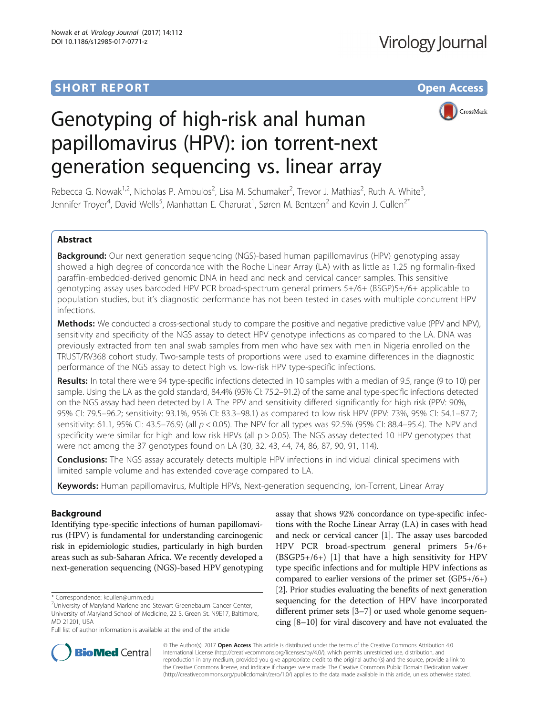# SHORT REPORT **The Contract of the Contract of Contract Contract of Contract Contract Contract Open Access**



# Genotyping of high-risk anal human papillomavirus (HPV): ion torrent-next generation sequencing vs. linear array

Rebecca G. Nowak<sup>1,2</sup>, Nicholas P. Ambulos<sup>2</sup>, Lisa M. Schumaker<sup>2</sup>, Trevor J. Mathias<sup>2</sup>, Ruth A. White<sup>3</sup> , Jennifer Troyer<sup>4</sup>, David Wells<sup>5</sup>, Manhattan E. Charurat<sup>1</sup>, Søren M. Bentzen<sup>2</sup> and Kevin J. Cullen<sup>2\*</sup>

# Abstract

Background: Our next generation sequencing (NGS)-based human papillomavirus (HPV) genotyping assay showed a high degree of concordance with the Roche Linear Array (LA) with as little as 1.25 ng formalin-fixed paraffin-embedded-derived genomic DNA in head and neck and cervical cancer samples. This sensitive genotyping assay uses barcoded HPV PCR broad-spectrum general primers 5+/6+ (BSGP)5+/6+ applicable to population studies, but it's diagnostic performance has not been tested in cases with multiple concurrent HPV infections.

Methods: We conducted a cross-sectional study to compare the positive and negative predictive value (PPV and NPV), sensitivity and specificity of the NGS assay to detect HPV genotype infections as compared to the LA. DNA was previously extracted from ten anal swab samples from men who have sex with men in Nigeria enrolled on the TRUST/RV368 cohort study. Two-sample tests of proportions were used to examine differences in the diagnostic performance of the NGS assay to detect high vs. low-risk HPV type-specific infections.

Results: In total there were 94 type-specific infections detected in 10 samples with a median of 9.5, range (9 to 10) per sample. Using the LA as the gold standard, 84.4% (95% CI: 75.2–91.2) of the same anal type-specific infections detected on the NGS assay had been detected by LA. The PPV and sensitivity differed significantly for high risk (PPV: 90%, 95% CI: 79.5–96.2; sensitivity: 93.1%, 95% CI: 83.3–98.1) as compared to low risk HPV (PPV: 73%, 95% CI: 54.1–87.7; sensitivity: 61.1, 95% CI: 43.5–76.9) (all  $p < 0.05$ ). The NPV for all types was 92.5% (95% CI: 88.4–95.4). The NPV and specificity were similar for high and low risk HPVs (all  $p > 0.05$ ). The NGS assay detected 10 HPV genotypes that were not among the 37 genotypes found on LA (30, 32, 43, 44, 74, 86, 87, 90, 91, 114).

**Conclusions:** The NGS assay accurately detects multiple HPV infections in individual clinical specimens with limited sample volume and has extended coverage compared to LA.

Keywords: Human papillomavirus, Multiple HPVs, Next-generation sequencing, Ion-Torrent, Linear Array

# Background

Identifying type-specific infections of human papillomavirus (HPV) is fundamental for understanding carcinogenic risk in epidemiologic studies, particularly in high burden areas such as sub-Saharan Africa. We recently developed a next-generation sequencing (NGS)-based HPV genotyping assay that shows 92% concordance on type-specific infections with the Roche Linear Array (LA) in cases with head and neck or cervical cancer [\[1](#page-4-0)]. The assay uses barcoded HPV PCR broad-spectrum general primers 5+/6+ (BSGP5+/6+) [\[1](#page-4-0)] that have a high sensitivity for HPV type specific infections and for multiple HPV infections as compared to earlier versions of the primer set  $(GP5+/6+)$ [[2\]](#page-4-0). Prior studies evaluating the benefits of next generation sequencing for the detection of HPV have incorporated different primer sets [\[3](#page-4-0)–[7](#page-4-0)] or used whole genome sequencing [[8](#page-4-0)–[10\]](#page-4-0) for viral discovery and have not evaluated the



© The Author(s). 2017 **Open Access** This article is distributed under the terms of the Creative Commons Attribution 4.0 International License [\(http://creativecommons.org/licenses/by/4.0/](http://creativecommons.org/licenses/by/4.0/)), which permits unrestricted use, distribution, and reproduction in any medium, provided you give appropriate credit to the original author(s) and the source, provide a link to the Creative Commons license, and indicate if changes were made. The Creative Commons Public Domain Dedication waiver [\(http://creativecommons.org/publicdomain/zero/1.0/](http://creativecommons.org/publicdomain/zero/1.0/)) applies to the data made available in this article, unless otherwise stated.

<sup>\*</sup> Correspondence: [kcullen@umm.edu](mailto:kcullen@umm.edu) <sup>2</sup>

 $2$ University of Maryland Marlene and Stewart Greenebaum Cancer Center, University of Maryland School of Medicine, 22 S. Green St. N9E17, Baltimore, MD 21201, USA

Full list of author information is available at the end of the article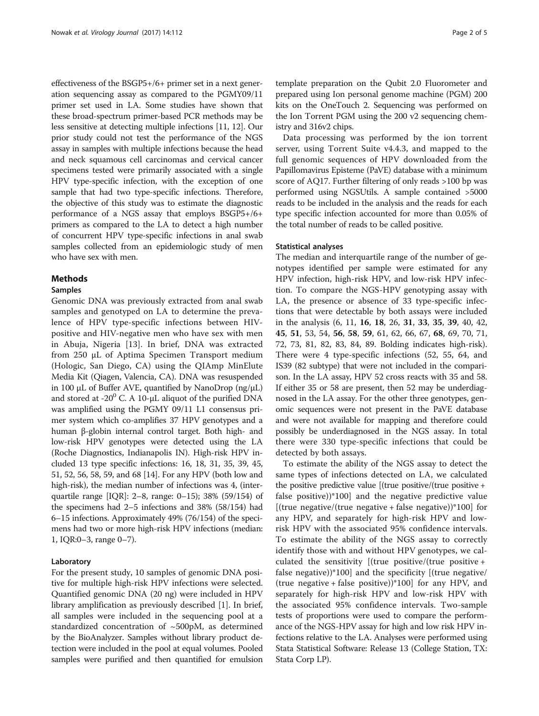effectiveness of the BSGP5+/6+ primer set in a next generation sequencing assay as compared to the PGMY09/11 primer set used in LA. Some studies have shown that these broad-spectrum primer-based PCR methods may be less sensitive at detecting multiple infections [[11](#page-4-0), [12\]](#page-4-0). Our prior study could not test the performance of the NGS assay in samples with multiple infections because the head and neck squamous cell carcinomas and cervical cancer specimens tested were primarily associated with a single HPV type-specific infection, with the exception of one sample that had two type-specific infections. Therefore, the objective of this study was to estimate the diagnostic performance of a NGS assay that employs BSGP5+/6+ primers as compared to the LA to detect a high number of concurrent HPV type-specific infections in anal swab samples collected from an epidemiologic study of men who have sex with men.

#### Methods

#### Samples

Genomic DNA was previously extracted from anal swab samples and genotyped on LA to determine the prevalence of HPV type-specific infections between HIVpositive and HIV-negative men who have sex with men in Abuja, Nigeria [[13](#page-4-0)]. In brief, DNA was extracted from 250 μL of Aptima Specimen Transport medium (Hologic, San Diego, CA) using the QIAmp MinElute Media Kit (Qiagen, Valencia, CA). DNA was resuspended in 100 μL of Buffer AVE, quantified by NanoDrop  $(ng/\mu L)$ and stored at -20 $\degree$  C. A 10- $\mu$ L aliquot of the purified DNA was amplified using the PGMY 09/11 L1 consensus primer system which co-amplifies 37 HPV genotypes and a human β-globin internal control target. Both high- and low-risk HPV genotypes were detected using the LA (Roche Diagnostics, Indianapolis IN). High-risk HPV included 13 type specific infections: 16, 18, 31, 35, 39, 45, 51, 52, 56, 58, 59, and 68 [[14](#page-4-0)]. For any HPV (both low and high-risk), the median number of infections was 4, (interquartile range [IQR]: 2–8, range: 0–15); 38% (59/154) of the specimens had 2–5 infections and 38% (58/154) had 6–15 infections. Approximately 49% (76/154) of the specimens had two or more high-risk HPV infections (median: 1, IQR:0–3, range 0–7).

#### Laboratory

For the present study, 10 samples of genomic DNA positive for multiple high-risk HPV infections were selected. Quantified genomic DNA (20 ng) were included in HPV library amplification as previously described [\[1](#page-4-0)]. In brief, all samples were included in the sequencing pool at a standardized concentration of  $\sim$ 500pM, as determined by the BioAnalyzer. Samples without library product detection were included in the pool at equal volumes. Pooled samples were purified and then quantified for emulsion

template preparation on the Qubit 2.0 Fluorometer and prepared using Ion personal genome machine (PGM) 200 kits on the OneTouch 2. Sequencing was performed on the Ion Torrent PGM using the 200 v2 sequencing chemistry and 316v2 chips.

Data processing was performed by the ion torrent server, using Torrent Suite v4.4.3, and mapped to the full genomic sequences of HPV downloaded from the Papillomavirus Episteme (PaVE) database with a minimum score of AQ17. Further filtering of only reads >100 bp was performed using NGSUtils. A sample contained >5000 reads to be included in the analysis and the reads for each type specific infection accounted for more than 0.05% of the total number of reads to be called positive.

#### Statistical analyses

The median and interquartile range of the number of genotypes identified per sample were estimated for any HPV infection, high-risk HPV, and low-risk HPV infection. To compare the NGS-HPV genotyping assay with LA, the presence or absence of 33 type-specific infections that were detectable by both assays were included in the analysis (6, 11, 16, 18, 26, 31, 33, 35, 39, 40, 42, 45, 51, 53, 54, 56, 58, 59, 61, 62, 66, 67, 68, 69, 70, 71, 72, 73, 81, 82, 83, 84, 89. Bolding indicates high-risk). There were 4 type-specific infections (52, 55, 64, and IS39 (82 subtype) that were not included in the comparison. In the LA assay, HPV 52 cross reacts with 35 and 58. If either 35 or 58 are present, then 52 may be underdiagnosed in the LA assay. For the other three genotypes, genomic sequences were not present in the PaVE database and were not available for mapping and therefore could possibly be underdiagnosed in the NGS assay. In total there were 330 type-specific infections that could be detected by both assays.

To estimate the ability of the NGS assay to detect the same types of infections detected on LA, we calculated the positive predictive value  $[(true positive/(true positive +$ false positive))\*100] and the negative predictive value  $[$ (true negative/(true negative + false negative))\*100] for any HPV, and separately for high-risk HPV and lowrisk HPV with the associated 95% confidence intervals. To estimate the ability of the NGS assay to correctly identify those with and without HPV genotypes, we calculated the sensitivity [(true positive/(true positive + false negative)) $*100$ ] and the specificity [(true negative/ (true negative + false positive))\*100] for any HPV, and separately for high-risk HPV and low-risk HPV with the associated 95% confidence intervals. Two-sample tests of proportions were used to compare the performance of the NGS-HPV assay for high and low risk HPV infections relative to the LA. Analyses were performed using Stata Statistical Software: Release 13 (College Station, TX: Stata Corp LP).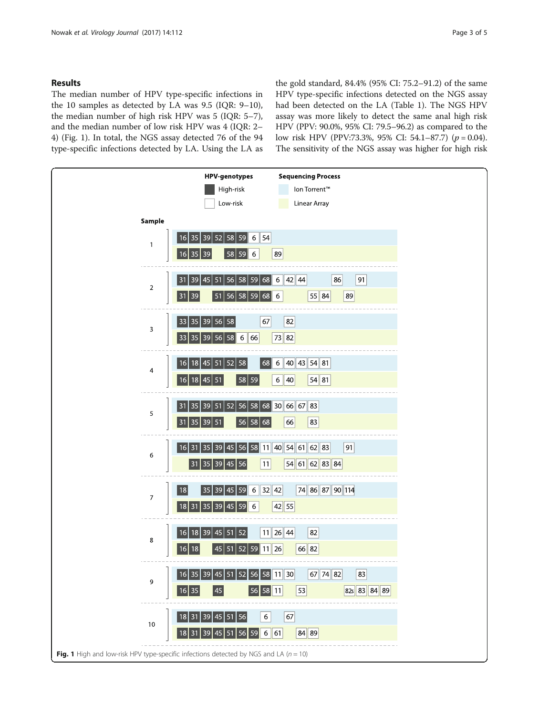#### <span id="page-2-0"></span>Results

The median number of HPV type-specific infections in the 10 samples as detected by LA was 9.5 (IQR: 9–10), the median number of high risk HPV was 5 (IQR: 5–7), and the median number of low risk HPV was 4 (IQR: 2– 4) (Fig. 1). In total, the NGS assay detected 76 of the 94 type-specific infections detected by LA. Using the LA as the gold standard, 84.4% (95% CI: 75.2–91.2) of the same HPV type-specific infections detected on the NGS assay had been detected on the LA (Table [1](#page-3-0)). The NGS HPV assay was more likely to detect the same anal high risk HPV (PPV: 90.0%, 95% CI: 79.5–96.2) as compared to the low risk HPV (PPV:73.3%, 95% CI: 54.1–87.7) ( $p = 0.04$ ). The sensitivity of the NGS assay was higher for high risk

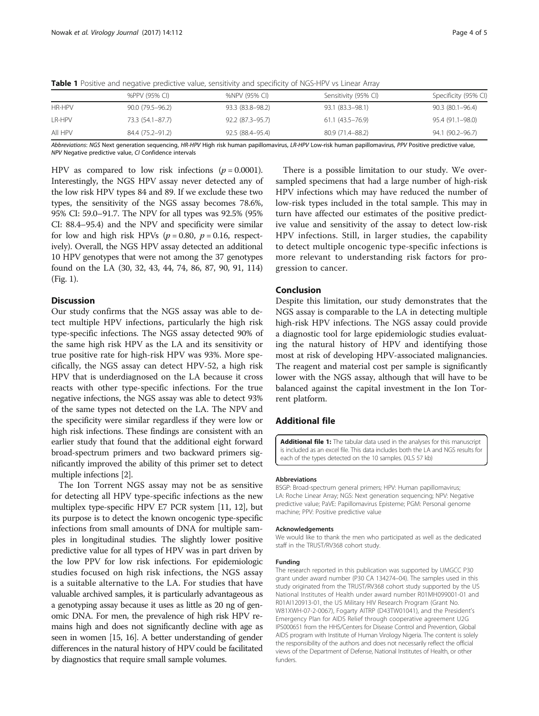|         | %PPV (95% CI)     | %NPV (95% CI)       | Sensitivity (95% CI) | Specificity (95% CI) |
|---------|-------------------|---------------------|----------------------|----------------------|
| HR-HPV  | $90.0(79.5-96.2)$ | 93.3 (83.8-98.2)    | 93.1 (83.3–98.1)     | 90.3 (80.1-96.4)     |
| I R-HPV | 73.3 (54.1–87.7)  | $92.2(87.3 - 95.7)$ | $61.1(43.5 - 76.9)$  | 95.4 (91.1-98.0)     |
| All HPV | 84.4 (75.2–91.2)  | 92.5 (88.4-95.4)    | 80.9 (71.4-88.2)     | 94.1 (90.2-96.7)     |

<span id="page-3-0"></span>**Table 1** Positive and negative predictive value, sensitivity and specificity of NGS-HPV vs Linear Array

Abbreviations: NGS Next generation sequencing, HR-HPV High risk human papillomavirus, LR-HPV Low-risk human papillomavirus, PPV Positive predictive value, NPV Negative predictive value, CI Confidence intervals

HPV as compared to low risk infections ( $p = 0.0001$ ). Interestingly, the NGS HPV assay never detected any of the low risk HPV types 84 and 89. If we exclude these two types, the sensitivity of the NGS assay becomes 78.6%, 95% CI: 59.0–91.7. The NPV for all types was 92.5% (95% CI: 88.4–95.4) and the NPV and specificity were similar for low and high risk HPVs ( $p = 0.80$ ,  $p = 0.16$ , respectively). Overall, the NGS HPV assay detected an additional 10 HPV genotypes that were not among the 37 genotypes found on the LA (30, 32, 43, 44, 74, 86, 87, 90, 91, 114) (Fig. [1](#page-2-0)).

### **Discussion**

Our study confirms that the NGS assay was able to detect multiple HPV infections, particularly the high risk type-specific infections. The NGS assay detected 90% of the same high risk HPV as the LA and its sensitivity or true positive rate for high-risk HPV was 93%. More specifically, the NGS assay can detect HPV-52, a high risk HPV that is underdiagnosed on the LA because it cross reacts with other type-specific infections. For the true negative infections, the NGS assay was able to detect 93% of the same types not detected on the LA. The NPV and the specificity were similar regardless if they were low or high risk infections. These findings are consistent with an earlier study that found that the additional eight forward broad-spectrum primers and two backward primers significantly improved the ability of this primer set to detect multiple infections [\[2\]](#page-4-0).

The Ion Torrent NGS assay may not be as sensitive for detecting all HPV type-specific infections as the new multiplex type-specific HPV E7 PCR system [[11](#page-4-0), [12](#page-4-0)], but its purpose is to detect the known oncogenic type-specific infections from small amounts of DNA for multiple samples in longitudinal studies. The slightly lower positive predictive value for all types of HPV was in part driven by the low PPV for low risk infections. For epidemiologic studies focused on high risk infections, the NGS assay is a suitable alternative to the LA. For studies that have valuable archived samples, it is particularly advantageous as a genotyping assay because it uses as little as 20 ng of genomic DNA. For men, the prevalence of high risk HPV remains high and does not significantly decline with age as seen in women [\[15](#page-4-0), [16](#page-4-0)]. A better understanding of gender differences in the natural history of HPV could be facilitated by diagnostics that require small sample volumes.

There is a possible limitation to our study. We oversampled specimens that had a large number of high-risk HPV infections which may have reduced the number of low-risk types included in the total sample. This may in turn have affected our estimates of the positive predictive value and sensitivity of the assay to detect low-risk HPV infections. Still, in larger studies, the capability to detect multiple oncogenic type-specific infections is more relevant to understanding risk factors for progression to cancer.

### Conclusion

Despite this limitation, our study demonstrates that the NGS assay is comparable to the LA in detecting multiple high-risk HPV infections. The NGS assay could provide a diagnostic tool for large epidemiologic studies evaluating the natural history of HPV and identifying those most at risk of developing HPV-associated malignancies. The reagent and material cost per sample is significantly lower with the NGS assay, although that will have to be balanced against the capital investment in the Ion Torrent platform.

## Additional file

[Additional file 1:](dx.doi.org/10.1186/s12985-017-0771-z) The tabular data used in the analyses for this manuscript is included as an excel file. This data includes both the LA and NGS results for each of the types detected on the 10 samples. (XLS 57 kb)

#### Abbreviations

BSGP: Broad-spectrum general primers; HPV: Human papillomavirus; LA: Roche Linear Array; NGS: Next generation sequencing; NPV: Negative predictive value; PaVE: Papillomavirus Episteme; PGM: Personal genome machine; PPV: Positive predictive value

#### Acknowledgements

We would like to thank the men who participated as well as the dedicated staff in the TRUST/RV368 cohort study.

#### Funding

The research reported in this publication was supported by UMGCC P30 grant under award number (P30 CA 134274–04). The samples used in this study originated from the TRUST/RV368 cohort study supported by the US National Institutes of Health under award number R01MH099001-01 and R01AI120913-01, the US Military HIV Research Program (Grant No. W81XWH-07-2-0067), Fogarty AITRP (D43TW01041), and the President's Emergency Plan for AIDS Relief through cooperative agreement U2G IPS000651 from the HHS/Centers for Disease Control and Prevention, Global AIDS program with Institute of Human Virology Nigeria. The content is solely the responsibility of the authors and does not necessarily reflect the official views of the Department of Defense, National Institutes of Health, or other funders.